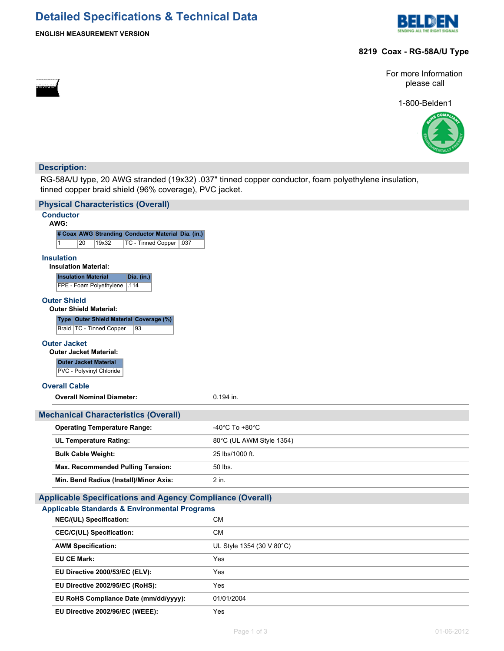# **Detailed Specifications & Technical Data**



## **ENGLISH MEASUREMENT VERSION**

## **8219 Coax - RG-58A/U Type**

For more Information please call

1-800-Belden1



## **Description:**

RG-58A/U type, 20 AWG stranded (19x32) .037" tinned copper conductor, foam polyethylene insulation, tinned copper braid shield (96% coverage), PVC jacket.

| <b>Physical Characteristics (Overall)</b>                                                       |                                      |  |  |  |  |
|-------------------------------------------------------------------------------------------------|--------------------------------------|--|--|--|--|
| <b>Conductor</b><br>AWG:                                                                        |                                      |  |  |  |  |
| # Coax AWG Stranding Conductor Material Dia. (in.)                                              |                                      |  |  |  |  |
| 20<br>19x32<br>TC - Tinned Copper   .037                                                        |                                      |  |  |  |  |
| <b>Insulation</b><br><b>Insulation Material:</b><br><b>Insulation Material</b><br>Dia. (in.)    |                                      |  |  |  |  |
| FPE - Foam Polyethylene<br>.114                                                                 |                                      |  |  |  |  |
| <b>Outer Shield</b><br><b>Outer Shield Material:</b><br>Type Outer Shield Material Coverage (%) |                                      |  |  |  |  |
| Braid   TC - Tinned Copper<br>93                                                                |                                      |  |  |  |  |
|                                                                                                 |                                      |  |  |  |  |
| <b>Outer Jacket</b><br><b>Outer Jacket Material:</b>                                            |                                      |  |  |  |  |
| <b>Outer Jacket Material</b><br>PVC - Polyvinyl Chloride                                        |                                      |  |  |  |  |
| <b>Overall Cable</b>                                                                            |                                      |  |  |  |  |
| <b>Overall Nominal Diameter:</b>                                                                | 0.194 in.                            |  |  |  |  |
| <b>Mechanical Characteristics (Overall)</b>                                                     |                                      |  |  |  |  |
| <b>Operating Temperature Range:</b>                                                             | -40 $^{\circ}$ C To +80 $^{\circ}$ C |  |  |  |  |
|                                                                                                 |                                      |  |  |  |  |
| <b>UL Temperature Rating:</b>                                                                   | 80°C (UL AWM Style 1354)             |  |  |  |  |
| <b>Bulk Cable Weight:</b>                                                                       | 25 lbs/1000 ft.                      |  |  |  |  |
| Max. Recommended Pulling Tension:                                                               | 50 lbs.                              |  |  |  |  |
| Min. Bend Radius (Install)/Minor Axis:                                                          | 2 in.                                |  |  |  |  |
| <b>Applicable Specifications and Agency Compliance (Overall)</b>                                |                                      |  |  |  |  |
| <b>Applicable Standards &amp; Environmental Programs</b>                                        |                                      |  |  |  |  |
| NEC/(UL) Specification:                                                                         | <b>CM</b>                            |  |  |  |  |
| <b>CEC/C(UL) Specification:</b>                                                                 | <b>CM</b>                            |  |  |  |  |
| <b>AWM Specification:</b>                                                                       | UL Style 1354 (30 V 80°C)            |  |  |  |  |
| <b>EU CE Mark:</b>                                                                              | Yes                                  |  |  |  |  |
| EU Directive 2000/53/EC (ELV):                                                                  | Yes                                  |  |  |  |  |
| EU Directive 2002/95/EC (RoHS):                                                                 | Yes                                  |  |  |  |  |
| EU RoHS Compliance Date (mm/dd/yyyy):                                                           | 01/01/2004                           |  |  |  |  |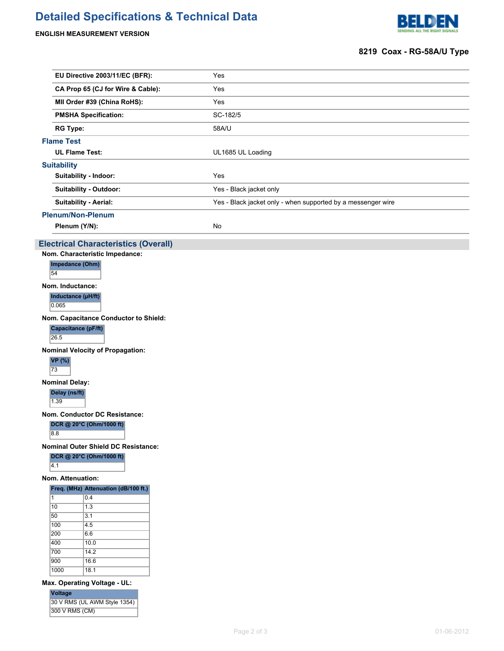# **Detailed Specifications & Technical Data**

**ENGLISH MEASUREMENT VERSION**

300 V RMS (CM)



## **8219 Coax - RG-58A/U Type**

|                                                | EU Directive 2003/11/EC (BFR):                                                                          |  | Yes                                                          |  |  |  |  |
|------------------------------------------------|---------------------------------------------------------------------------------------------------------|--|--------------------------------------------------------------|--|--|--|--|
|                                                | CA Prop 65 (CJ for Wire & Cable):                                                                       |  | Yes                                                          |  |  |  |  |
| MII Order #39 (China RoHS):                    |                                                                                                         |  | Yes                                                          |  |  |  |  |
| <b>PMSHA Specification:</b>                    |                                                                                                         |  | SC-182/5                                                     |  |  |  |  |
| <b>RG Type:</b>                                |                                                                                                         |  | 58A/U                                                        |  |  |  |  |
| <b>Flame Test</b>                              |                                                                                                         |  |                                                              |  |  |  |  |
| <b>UL Flame Test:</b>                          |                                                                                                         |  | UL1685 UL Loading                                            |  |  |  |  |
| <b>Suitability</b>                             |                                                                                                         |  |                                                              |  |  |  |  |
| Suitability - Indoor:                          |                                                                                                         |  | Yes                                                          |  |  |  |  |
|                                                | <b>Suitability - Outdoor:</b>                                                                           |  | Yes - Black jacket only                                      |  |  |  |  |
|                                                | <b>Suitability - Aerial:</b>                                                                            |  | Yes - Black jacket only - when supported by a messenger wire |  |  |  |  |
|                                                | <b>Plenum/Non-Plenum</b>                                                                                |  |                                                              |  |  |  |  |
|                                                | Plenum (Y/N):                                                                                           |  | No                                                           |  |  |  |  |
|                                                | <b>Electrical Characteristics (Overall)</b>                                                             |  |                                                              |  |  |  |  |
|                                                | Nom. Characteristic Impedance:                                                                          |  |                                                              |  |  |  |  |
| Impedance (Ohm)<br>54                          |                                                                                                         |  |                                                              |  |  |  |  |
| Nom. Inductance:<br>0.065                      | Inductance (µH/ft)                                                                                      |  |                                                              |  |  |  |  |
| 26.5<br><b>VP</b> (%)                          | Nom. Capacitance Conductor to Shield:<br>Capacitance (pF/ft)<br><b>Nominal Velocity of Propagation:</b> |  |                                                              |  |  |  |  |
| 73                                             |                                                                                                         |  |                                                              |  |  |  |  |
| <b>Nominal Delay:</b><br>Delay (ns/ft)<br>1.39 |                                                                                                         |  |                                                              |  |  |  |  |
|                                                |                                                                                                         |  |                                                              |  |  |  |  |
| 8.8                                            | Nom. Conductor DC Resistance:<br>DCR @ 20°C (Ohm/1000 ft)                                               |  |                                                              |  |  |  |  |
| <b>Nominal Outer Shield DC Resistance:</b>     |                                                                                                         |  |                                                              |  |  |  |  |
| 4.1                                            | DCR @ 20°C (Ohm/1000 ft)                                                                                |  |                                                              |  |  |  |  |
| Nom. Attenuation:                              |                                                                                                         |  |                                                              |  |  |  |  |
|                                                | Freq. (MHz) Attenuation (dB/100 ft.)                                                                    |  |                                                              |  |  |  |  |
| 11.<br>$\overline{10}$                         | 0.4<br>$\overline{1.3}$                                                                                 |  |                                                              |  |  |  |  |
| 50                                             | 3.1                                                                                                     |  |                                                              |  |  |  |  |
| 100                                            | 4.5                                                                                                     |  |                                                              |  |  |  |  |
| 200                                            | 6.6                                                                                                     |  |                                                              |  |  |  |  |
| 400                                            | 10.0                                                                                                    |  |                                                              |  |  |  |  |
| 700                                            | 14.2                                                                                                    |  |                                                              |  |  |  |  |
| 900<br>1000                                    | 16.6<br>18.1                                                                                            |  |                                                              |  |  |  |  |
|                                                |                                                                                                         |  |                                                              |  |  |  |  |
| <b>Voltage</b>                                 | Max. Operating Voltage - UL:<br>30 V RMS (UL AWM Style 1354)                                            |  |                                                              |  |  |  |  |